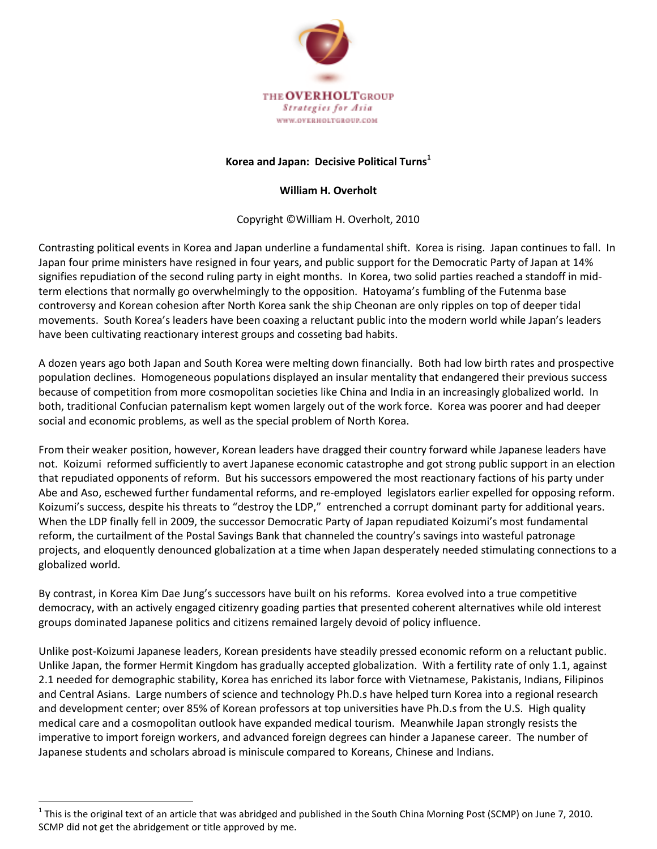

## **Korea and Japan: Decisive Political Turns<sup>1</sup>**

## **William H. Overholt**

Copyright ©William H. Overholt, 2010

Contrasting political events in Korea and Japan underline a fundamental shift. Korea is rising. Japan continues to fall. In Japan four prime ministers have resigned in four years, and public support for the Democratic Party of Japan at 14% signifies repudiation of the second ruling party in eight months. In Korea, two solid parties reached a standoff in midterm elections that normally go overwhelmingly to the opposition. Hatoyama's fumbling of the Futenma base controversy and Korean cohesion after North Korea sank the ship Cheonan are only ripples on top of deeper tidal movements. South Korea's leaders have been coaxing a reluctant public into the modern world while Japan's leaders have been cultivating reactionary interest groups and cosseting bad habits.

A dozen years ago both Japan and South Korea were melting down financially. Both had low birth rates and prospective population declines. Homogeneous populations displayed an insular mentality that endangered their previous success because of competition from more cosmopolitan societies like China and India in an increasingly globalized world. In both, traditional Confucian paternalism kept women largely out of the work force. Korea was poorer and had deeper social and economic problems, as well as the special problem of North Korea.

From their weaker position, however, Korean leaders have dragged their country forward while Japanese leaders have not. Koizumi reformed sufficiently to avert Japanese economic catastrophe and got strong public support in an election that repudiated opponents of reform. But his successors empowered the most reactionary factions of his party under Abe and Aso, eschewed further fundamental reforms, and re-employed legislators earlier expelled for opposing reform. Koizumi's success, despite his threats to "destroy the LDP," entrenched a corrupt dominant party for additional years. When the LDP finally fell in 2009, the successor Democratic Party of Japan repudiated Koizumi's most fundamental reform, the curtailment of the Postal Savings Bank that channeled the country's savings into wasteful patronage projects, and eloquently denounced globalization at a time when Japan desperately needed stimulating connections to a globalized world.

By contrast, in Korea Kim Dae Jung's successors have built on his reforms. Korea evolved into a true competitive democracy, with an actively engaged citizenry goading parties that presented coherent alternatives while old interest groups dominated Japanese politics and citizens remained largely devoid of policy influence.

Unlike post-Koizumi Japanese leaders, Korean presidents have steadily pressed economic reform on a reluctant public. Unlike Japan, the former Hermit Kingdom has gradually accepted globalization. With a fertility rate of only 1.1, against 2.1 needed for demographic stability, Korea has enriched its labor force with Vietnamese, Pakistanis, Indians, Filipinos and Central Asians. Large numbers of science and technology Ph.D.s have helped turn Korea into a regional research and development center; over 85% of Korean professors at top universities have Ph.D.s from the U.S. High quality medical care and a cosmopolitan outlook have expanded medical tourism. Meanwhile Japan strongly resists the imperative to import foreign workers, and advanced foreign degrees can hinder a Japanese career. The number of Japanese students and scholars abroad is miniscule compared to Koreans, Chinese and Indians.

 $\overline{a}$ 

 $^1$  This is the original text of an article that was abridged and published in the South China Morning Post (SCMP) on June 7, 2010. SCMP did not get the abridgement or title approved by me.